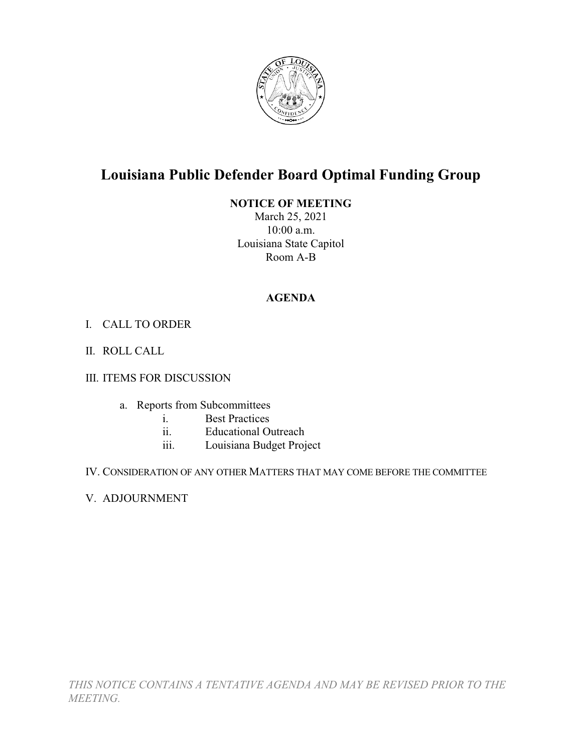

## **Louisiana Public Defender Board Optimal Funding Group**

## **NOTICE OF MEETING**

March 25, 2021 10:00 a.m. Louisiana State Capitol Room A-B

## **AGENDA**

- I. CALL TO ORDER
- II. ROLL CALL

## III. ITEMS FOR DISCUSSION

- a. Reports from Subcommittees
	- i. Best Practices
	- ii. Educational Outreach
	- iii. Louisiana Budget Project
- IV. CONSIDERATION OF ANY OTHER MATTERS THAT MAY COME BEFORE THE COMMITTEE
- V. ADJOURNMENT